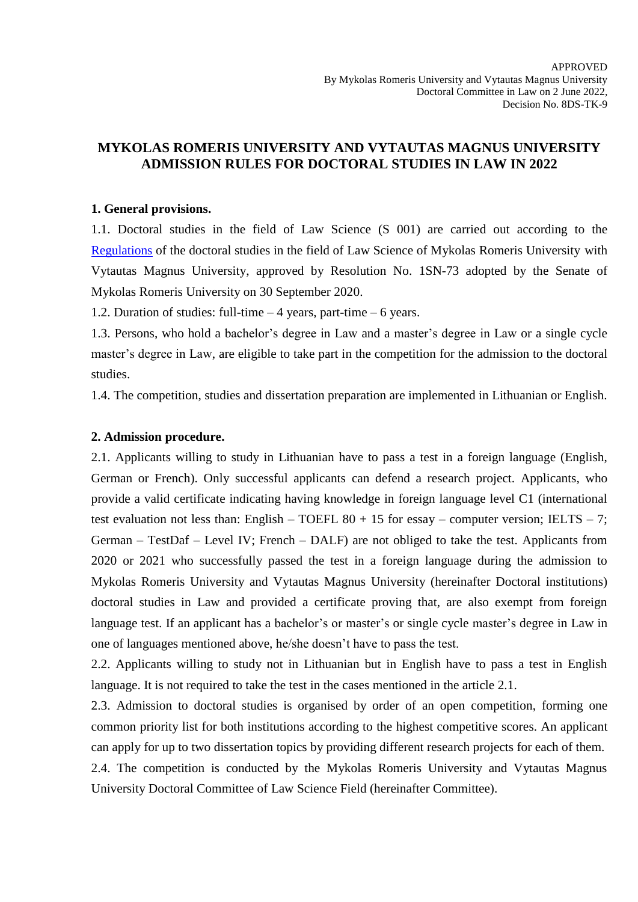## **MYKOLAS ROMERIS UNIVERSITY AND VYTAUTAS MAGNUS UNIVERSITY ADMISSION RULES FOR DOCTORAL STUDIES IN LAW IN 2022**

#### **1. General provisions.**

1.1. Doctoral studies in the field of Law Science (S 001) are carried out according to the [Regulations](https://www.mruni.eu/wp-content/uploads/2020/08/Regulations-of-the-doctoral-studies-in-the-field-of-Law-Science_2020.pdf) of the doctoral studies in the field of Law Science of Mykolas Romeris University with Vytautas Magnus University, approved by Resolution No. 1SN-73 adopted by the Senate of Mykolas Romeris University on 30 September 2020.

1.2. Duration of studies: full-time – 4 years, part-time – 6 years.

1.3. Persons, who hold a bachelor's degree in Law and a master's degree in Law or a single cycle master's degree in Law, are eligible to take part in the competition for the admission to the doctoral studies.

1.4. The competition, studies and dissertation preparation are implemented in Lithuanian or English.

#### **2. Admission procedure.**

2.1. Applicants willing to study in Lithuanian have to pass a test in a foreign language (English, German or French). Only successful applicants can defend a research project. Applicants, who provide a valid certificate indicating having knowledge in foreign language level C1 (international test evaluation not less than: English – TOEFL  $80 + 15$  for essay – computer version; IELTS – 7; German – TestDaf – Level IV; French – DALF) are not obliged to take the test. Applicants from 2020 or 2021 who successfully passed the test in a foreign language during the admission to Mykolas Romeris University and Vytautas Magnus University (hereinafter Doctoral institutions) doctoral studies in Law and provided a certificate proving that, are also exempt from foreign language test. If an applicant has a bachelor's or master's or single cycle master's degree in Law in one of languages mentioned above, he/she doesn't have to pass the test.

2.2. Applicants willing to study not in Lithuanian but in English have to pass a test in English language. It is not required to take the test in the cases mentioned in the article 2.1.

2.3. Admission to doctoral studies is organised by order of an open competition, forming one common priority list for both institutions according to the highest competitive scores. An applicant can apply for up to two dissertation topics by providing different research projects for each of them. 2.4. The competition is conducted by the Mykolas Romeris University and Vytautas Magnus

University Doctoral Committee of Law Science Field (hereinafter Committee).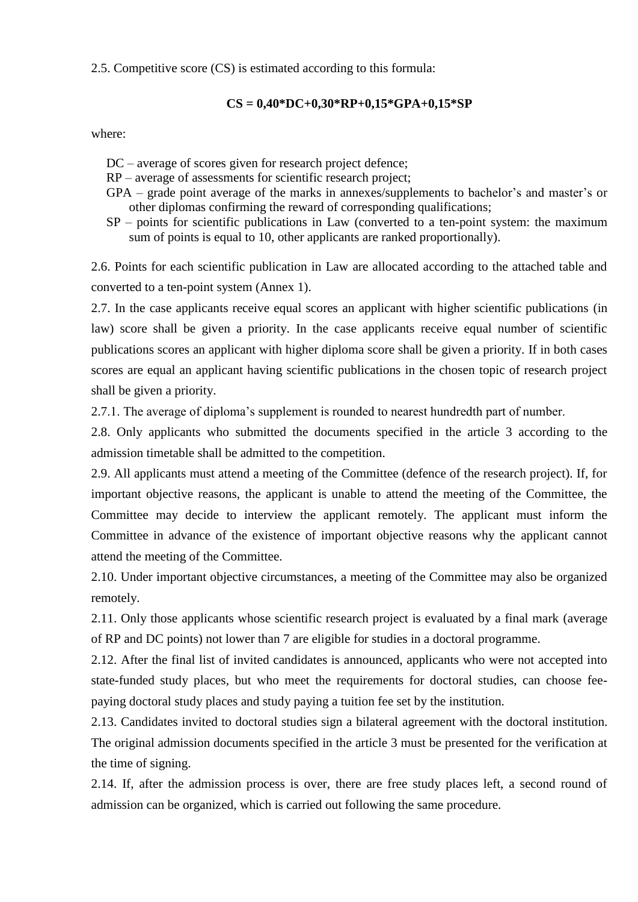#### 2.5. Competitive score (CS) is estimated according to this formula:

### **CS = 0,40\*DC+0,30\*RP+0,15\*GPA+0,15\*SP**

where:

- DC average of scores given for research project defence;
- RP average of assessments for scientific research project;
- GPA grade point average of the marks in annexes/supplements to bachelor's and master's or other diplomas confirming the reward of corresponding qualifications;
- SP points for scientific publications in Law (converted to a ten-point system: the maximum sum of points is equal to 10, other applicants are ranked proportionally).

2.6. Points for each scientific publication in Law are allocated according to the attached table and converted to a ten-point system (Annex 1).

2.7. In the case applicants receive equal scores an applicant with higher scientific publications (in law) score shall be given a priority. In the case applicants receive equal number of scientific publications scores an applicant with higher diploma score shall be given a priority. If in both cases scores are equal an applicant having scientific publications in the chosen topic of research project shall be given a priority.

2.7.1. The average of diploma's supplement is rounded to nearest hundredth part of number.

2.8. Only applicants who submitted the documents specified in the article 3 according to the admission timetable shall be admitted to the competition.

2.9. All applicants must attend a meeting of the Committee (defence of the research project). If, for important objective reasons, the applicant is unable to attend the meeting of the Committee, the Committee may decide to interview the applicant remotely. The applicant must inform the Committee in advance of the existence of important objective reasons why the applicant cannot attend the meeting of the Committee.

2.10. Under important objective circumstances, a meeting of the Committee may also be organized remotely.

2.11. Only those applicants whose scientific research project is evaluated by a final mark (average of RP and DC points) not lower than 7 are eligible for studies in a doctoral programme.

2.12. After the final list of invited candidates is announced, applicants who were not accepted into state-funded study places, but who meet the requirements for doctoral studies, can choose feepaying doctoral study places and study paying a tuition fee set by the institution.

2.13. Candidates invited to doctoral studies sign a bilateral agreement with the doctoral institution. The original admission documents specified in the article 3 must be presented for the verification at the time of signing.

2.14. If, after the admission process is over, there are free study places left, a second round of admission can be organized, which is carried out following the same procedure.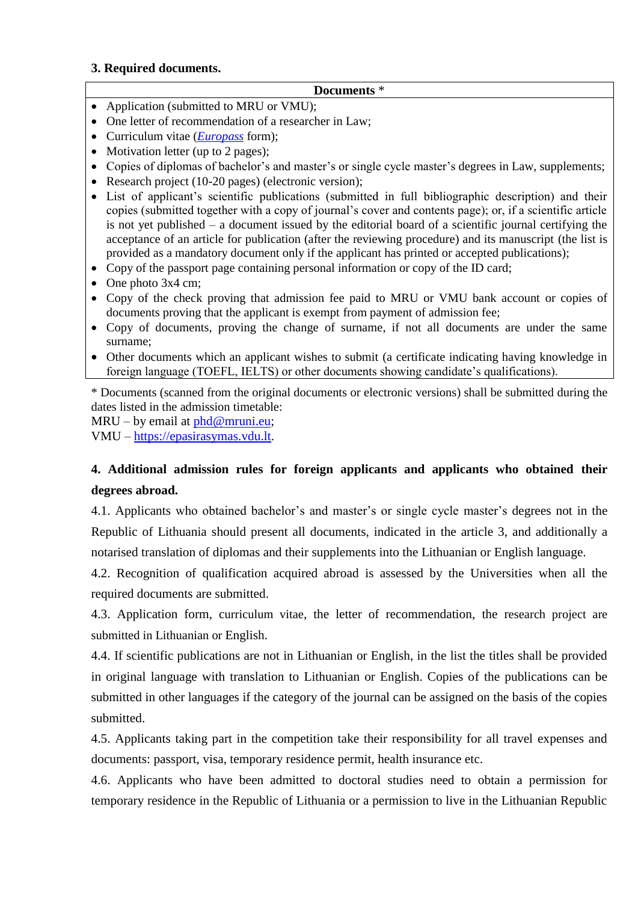### **3. Required documents.**

#### **Documents** \*

- Application (submitted to MRU or VMU);
- One letter of recommendation of a researcher in Law;
- Curriculum vitae (*[Europass](https://europass.cedefop.europa.eu/editors/en/cv/compose)* form);
- Motivation letter (up to 2 pages);
- Copies of diplomas of bachelor's and master's or single cycle master's degrees in Law, supplements;
- Research project (10-20 pages) (electronic version);
- List of applicant's scientific publications (submitted in full bibliographic description) and their copies (submitted together with a copy of journal's cover and contents page); or, if a scientific article is not yet published – a document issued by the editorial board of a scientific journal certifying the acceptance of an article for publication (after the reviewing procedure) and its manuscript (the list is provided as a mandatory document only if the applicant has printed or accepted publications);
- Copy of the passport page containing personal information or copy of the ID card;
- One photo 3x4 cm;
- Copy of the check proving that admission fee paid to MRU or VMU bank account or copies of documents proving that the applicant is exempt from payment of admission fee;
- Copy of documents, proving the change of surname, if not all documents are under the same surname;
- Other documents which an applicant wishes to submit (a certificate indicating having knowledge in foreign language (TOEFL, IELTS) or other documents showing candidate's qualifications).

\* Documents (scanned from the original documents or electronic versions) shall be submitted during the dates listed in the admission timetable:

MRU – by email at  $phd@mruni.eu;$ VMU – [https://epasirasymas.vdu.lt.](https://epasirasymas.vdu.lt/)

# **4. Additional admission rules for foreign applicants and applicants who obtained their degrees abroad.**

4.1. Applicants who obtained bachelor's and master's or single cycle master's degrees not in the Republic of Lithuania should present all documents, indicated in the article 3, and additionally a notarised translation of diplomas and their supplements into the Lithuanian or English language.

4.2. Recognition of qualification acquired abroad is assessed by the Universities when all the required documents are submitted.

4.3. Application form, curriculum vitae, the letter of recommendation, the research project are submitted in Lithuanian or English.

4.4. If scientific publications are not in Lithuanian or English, in the list the titles shall be provided in original language with translation to Lithuanian or English. Copies of the publications can be submitted in other languages if the category of the journal can be assigned on the basis of the copies submitted.

4.5. Applicants taking part in the competition take their responsibility for all travel expenses and documents: passport, visa, temporary residence permit, health insurance etc.

4.6. Applicants who have been admitted to doctoral studies need to obtain a permission for temporary residence in the Republic of Lithuania or a permission to live in the Lithuanian Republic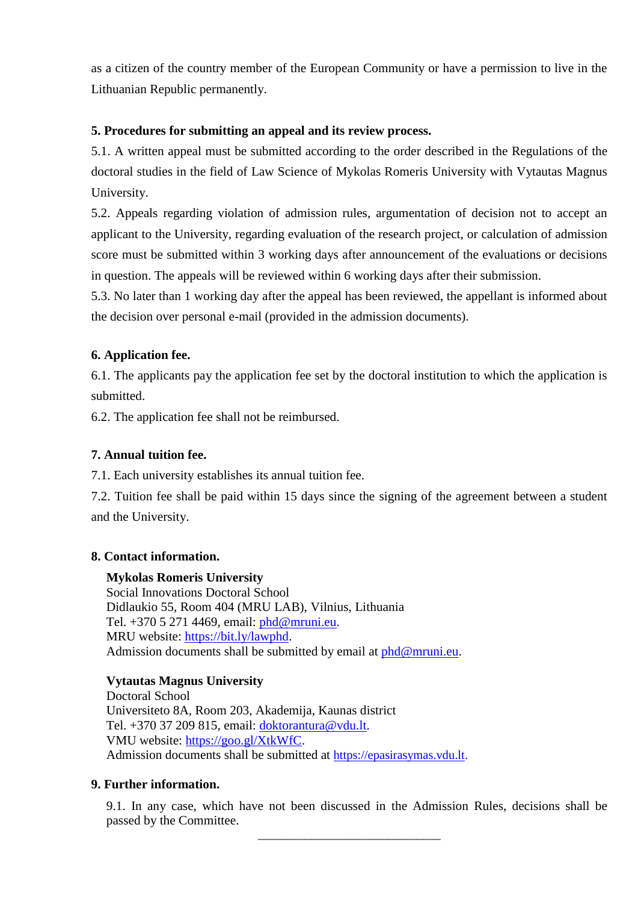as a citizen of the country member of the European Community or have a permission to live in the Lithuanian Republic permanently.

## **5. Procedures for submitting an appeal and its review process.**

5.1. A written appeal must be submitted according to the order described in the Regulations of the doctoral studies in the field of Law Science of Mykolas Romeris University with Vytautas Magnus University.

5.2. Appeals regarding violation of admission rules, argumentation of decision not to accept an applicant to the University, regarding evaluation of the research project, or calculation of admission score must be submitted within 3 working days after announcement of the evaluations or decisions in question. The appeals will be reviewed within 6 working days after their submission.

5.3. No later than 1 working day after the appeal has been reviewed, the appellant is informed about the decision over personal e-mail (provided in the admission documents).

## **6. Application fee.**

6.1. The applicants pay the application fee set by the doctoral institution to which the application is submitted.

6.2. The application fee shall not be reimbursed.

## **7. Annual tuition fee.**

7.1. Each university establishes its annual tuition fee.

7.2. Tuition fee shall be paid within 15 days since the signing of the agreement between a student and the University.

## **8. Contact information.**

## **Mykolas Romeris University**

Social Innovations Doctoral School Didlaukio 55, Room 404 (MRU LAB), Vilnius, Lithuania Tel. +370 5 271 4469, email: [phd@mruni.eu.](mailto:phd@mruni.eu) MRU website: [https://bit.ly/lawphd.](https://bit.ly/lawphd) Admission documents shall be submitted by email at  $phd@mruni.eu$ .

## **Vytautas Magnus University**

Doctoral School Universiteto 8A, Room 203, Akademija, Kaunas district Tel. +370 37 209 815, email: [doktorantura@vdu.lt.](mailto:doktorantura@vdu.lt) VMU website: [https://goo.gl/XtkWfC.](https://goo.gl/XtkWfC) Admission documents shall be submitted at [https://epasirasymas.vdu.lt.](https://epasirasymas.vdu.lt/)

## **9. Further information.**

9.1. In any case, which have not been discussed in the Admission Rules, decisions shall be passed by the Committee.

\_\_\_\_\_\_\_\_\_\_\_\_\_\_\_\_\_\_\_\_\_\_\_\_\_\_\_\_\_\_\_